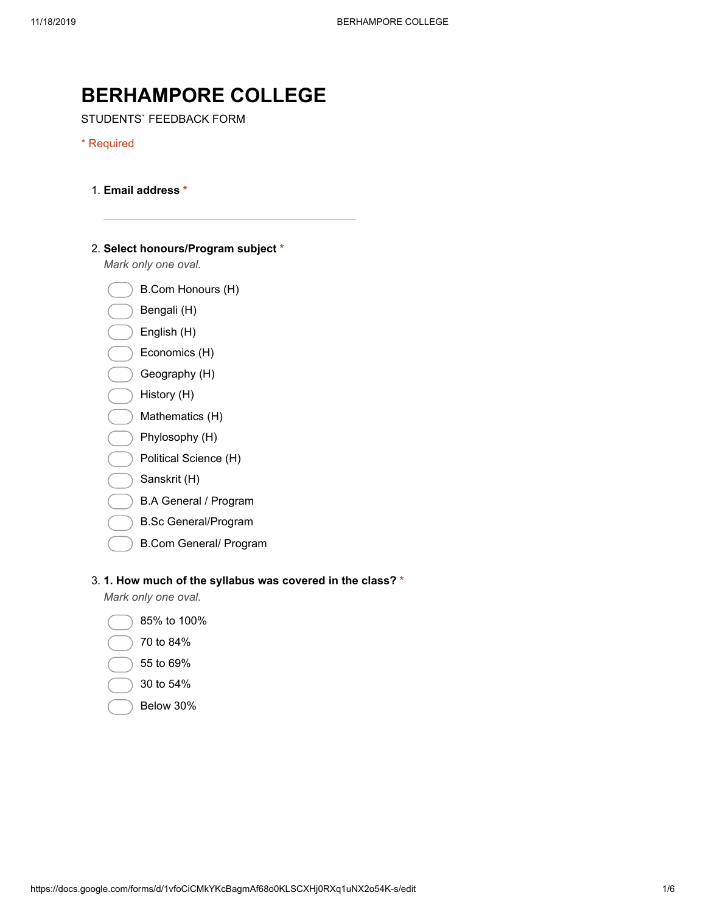# BERHAMPORE COLLEGE

STUDENTS` FEEDBACK FORM

#### \* Required

- 1. Email address \*
- 2. Select honours/Program subject \*

Mark only one oval.

- B.Com Honours (H)
- Bengali (H)
- English (H)
- Economics (H)
- Geography (H)
- History (H)
- Mathematics (H)
- Phylosophy (H)
- Political Science (H)
- Sanskrit (H)
- B.A General / Program
- B.Sc General/Program
- B.Com General/ Program

#### 3. 1. How much of the syllabus was covered in the class? \*

- 85% to 100%
- 70 to 84%
- 55 to 69%
- 30 to 54%
- Below 30%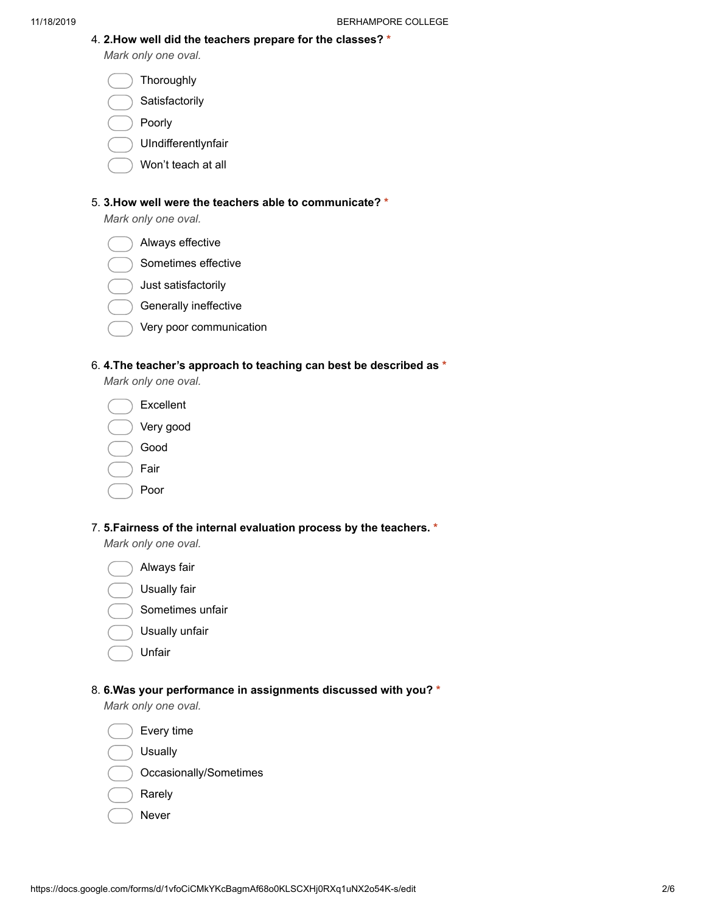4. 2.How well did the teachers prepare for the classes? \* Mark only one oval.

**Thoroughly** 

Satisfactorily

- Poorly
- UIndifferentlynfair
- Won't teach at all

### 5. 3.How well were the teachers able to communicate? \*

Mark only one oval.

- Always effective
- Sometimes effective
- Just satisfactorily
- Generally ineffective
- Very poor communication

#### 6. 4.The teacher's approach to teaching can best be described as \*

Mark only one oval.

- Excellent Very good
- Good
- Fair
	- Poor

## 7. 5.Fairness of the internal evaluation process by the teachers. \*

Mark only one oval.

- Always fair
- Usually fair
- Sometimes unfair
- Usually unfair
- Unfair

#### 8. 6.Was your performance in assignments discussed with you? \*

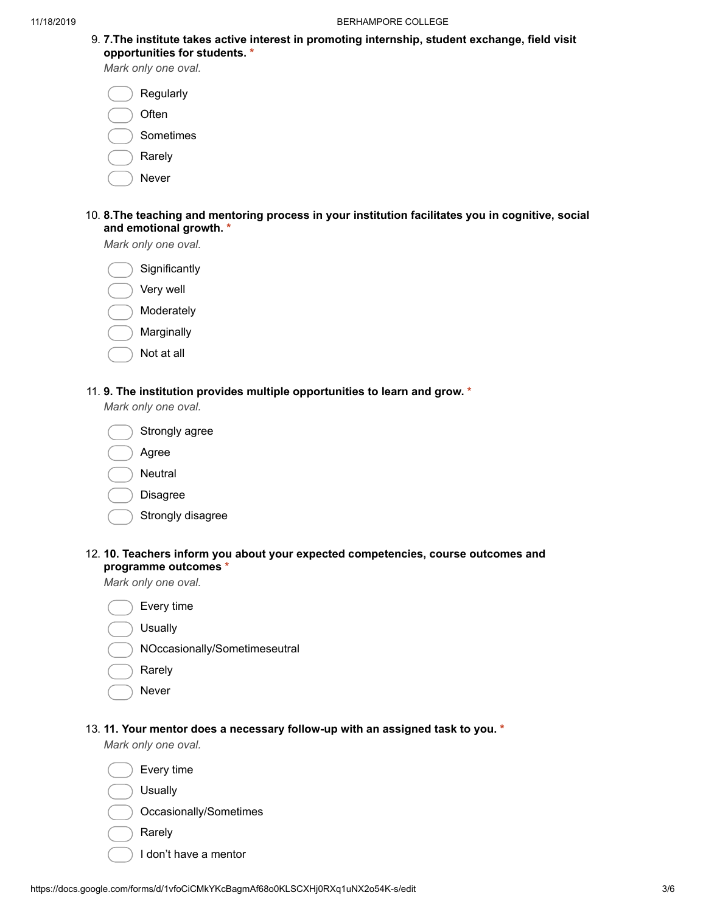9. 7.The institute takes active interest in promoting internship, student exchange, field visit opportunities for students. \*

Mark only one oval.

Regularly

- **Often**
- Sometimes
- Rarely
	- Never
- 10. 8.The teaching and mentoring process in your institution facilitates you in cognitive, social and emotional growth. \*

Mark only one oval.

**Significantly** 

- Very well
- Moderately
- Marginally
- Not at all

## 11. 9. The institution provides multiple opportunities to learn and grow. \*

Mark only one oval.



- Strongly disagree
- 12. 10. Teachers inform you about your expected competencies, course outcomes and programme outcomes \*

Mark only one oval.



- Rarely
- Never
- 13. 11. Your mentor does a necessary follow-up with an assigned task to you. \*

- Every time Usually Occasionally/Sometimes
- Rarely
	- I don't have a mentor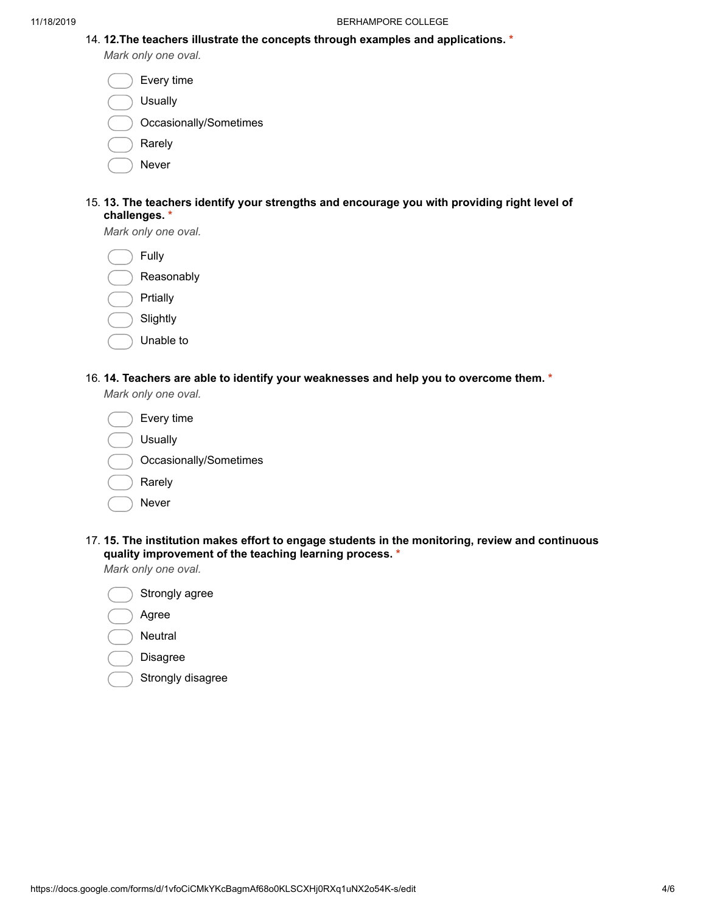14. 12.The teachers illustrate the concepts through examples and applications. \*

Mark only one oval.

|    | Every time             |
|----|------------------------|
|    | Usually                |
|    | Occasionally/Sometimes |
|    | Rarely                 |
|    | Never                  |
| 12 | Tha taachare idantif   |

15. 13. The teachers identify your strengths and encourage you with providing right level of challenges. \*

Mark only one oval.

Fully

| Reasonably |
|------------|
|            |

|  | Prtiallv |
|--|----------|
|  |          |
|  |          |

- **Slightly**
- Unable to
- 16. 14. Teachers are able to identify your weaknesses and help you to overcome them. \*

Mark only one oval.

| Every time             |
|------------------------|
| <b>Usually</b>         |
| Occasionally/Sometimes |
| Rarely                 |
| Never                  |

17. 15. The institution makes effort to engage students in the monitoring, review and continuous quality improvement of the teaching learning process. \*

Mark only one oval.



Strongly disagree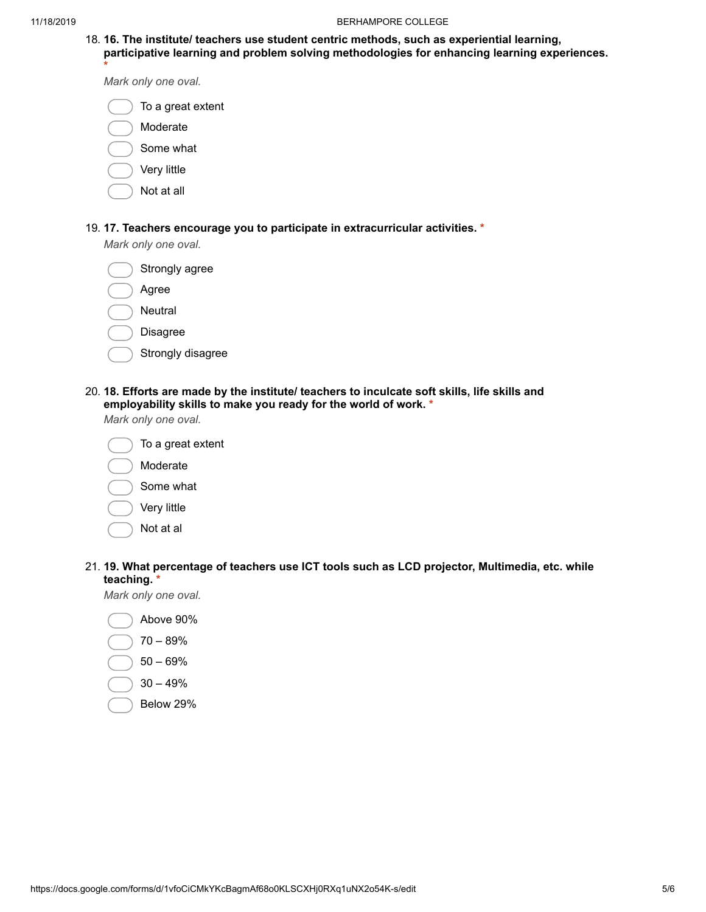18. 16. The institute/ teachers use student centric methods, such as experiential learning, participative learning and problem solving methodologies for enhancing learning experiences. \*

Mark only one oval.

- To a great extent
- Moderate
- Some what
- Very little
- Not at all
- 19. 17. Teachers encourage you to participate in extracurricular activities. \*

Mark only one oval.



- Strongly disagree
- 20. 18. Efforts are made by the institute/ teachers to inculcate soft skills, life skills and employability skills to make you ready for the world of work. \*

Mark only one oval.



21. 19. What percentage of teachers use ICT tools such as LCD projector, Multimedia, etc. while teaching. \*

- Above 90%
- 70 89%
- 50 69%
- 30 49%
- Below 29%